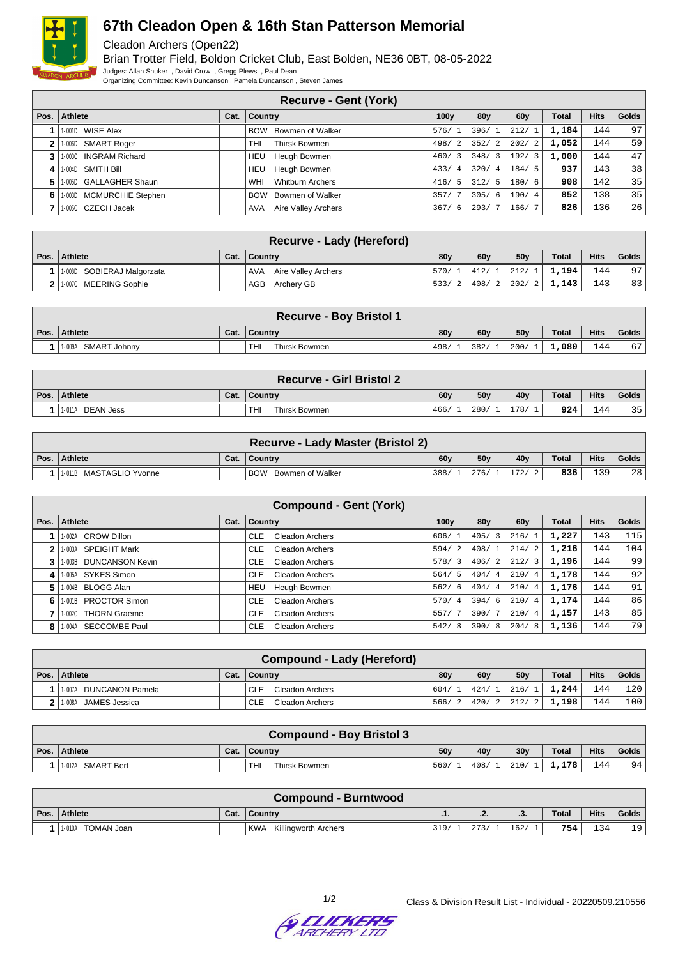

## **67th Cleadon Open & 16th Stan Patterson Memorial**

Cleadon Archers (Open22)

Brian Trotter Field, Boldon Cricket Club, East Bolden, NE36 0BT, 08-05-2022 Judges: Allan Shuker , David Crow , Gregg Plews , Paul Dean Organizing Committee: Kevin Duncanson , Pamela Duncanson , Steven James

**Recurve - Gent (York) Pos. Athlete Cat. Country 100y 80y 60y Total Hits Golds** 1-001D WISE Alex **BOW Bowmen of Walker** 576/ 1 396/ 1 212/ 1 **1,184** 144 97 1-006D SMART Roger THI Thirsk Bowmen 498/ 2 352/ 2 202/ 2 **1,052** 144 59 1-003C INGRAM Richard HEU Heugh Bowmen 460/ 3 348/ 3 192/ 3 1,000 144 47 1- 004D SMITH Bill HEU Heugh Bowmen 433/ 4 320/ 4 184/ 5 **937** 143 38 1- 005D GALLAGHER Shaun WHI Whitburn Archers 416/ 5 312/ 5 180/ 6 **908** 142 35 1-003D MCMURCHIE Stephen BOW Bowmen of Walker 357/ 7 305/ 6 190/ 4 **852** 138 35 1-005C CZECH Jacek AVA Aire Valley Archers 367/ 6 293/ 7 166/ 7 **826** 136 26

|                            | Recurve - Lady (Hereford)  |                 |     |                     |              |             |       |
|----------------------------|----------------------------|-----------------|-----|---------------------|--------------|-------------|-------|
| Pos.   Athlete             | Cat.   Country             | 80 <sub>V</sub> | 60v | 50v                 | <b>Total</b> | <b>Hits</b> | Golds |
| 1-008D SOBIERAJ Malgorzata | Aire Valley Archers<br>AVA | 570/1           |     | $412/1$ 212/1 1.194 |              | 144         | 97    |
| 2 1.007C MEERING Sophie    | AGB Archery GB             | 533/2           |     | $408/2$ 202/2 1.143 |              | 143         | 83    |

|                        |      | <b>Recurve - Boy Bristol 1</b> |                 |                 |                 |              |             |       |
|------------------------|------|--------------------------------|-----------------|-----------------|-----------------|--------------|-------------|-------|
| Pos. Athlete           | Cat. | Country                        | 80 <sub>V</sub> | 60 <sub>V</sub> | 50 <sub>V</sub> | <b>Total</b> | <b>Hits</b> | Golds |
| SMART Johnny<br>1-009A |      | THI<br>Thirsk Bowmen           | 498/            | 382/1           | 200/1           | 1,080        | 144         | 67    |

|                     |      | <b>Recurve - Girl Bristol 2</b> |                 |                 |      |       |             |       |
|---------------------|------|---------------------------------|-----------------|-----------------|------|-------|-------------|-------|
| Pos. Athlete        | Cat. | ∣ Country                       | 60 <sub>V</sub> | 50 <sub>V</sub> | 40v  | Total | <b>Hits</b> | Golds |
| DEAN Jess<br>1-011A |      | <b>THI</b><br>Thirsk Bowmen     | 466/            | 280/            | 178/ | 924   | 144         | 35    |

|      | Recurve - Lady Master (Bristol 2) |      |                             |      |                 |      |       |             |              |  |  |  |
|------|-----------------------------------|------|-----------------------------|------|-----------------|------|-------|-------------|--------------|--|--|--|
| Pos. | Athlete                           | Cat. | . ∣ Countrv                 | 60v  | 50 <sub>V</sub> | 40v  | Total | <b>Hits</b> | <b>Golds</b> |  |  |  |
|      | 1.011B MASTAGLIO Yvonne           |      | <b>BOW</b> Bowmen of Walker | 388/ | 276/            | 172/ | 836   | 39          | 28           |  |  |  |

|      |                                  |      | <b>Compound - Gent (York)</b>        |                  |                 |                        |              |             |              |
|------|----------------------------------|------|--------------------------------------|------------------|-----------------|------------------------|--------------|-------------|--------------|
| Pos. | Athlete                          | Cat. | Country                              | 100 <sub>v</sub> | 80 <sub>V</sub> | 60y                    | <b>Total</b> | <b>Hits</b> | <b>Golds</b> |
|      | 1-002A CROW Dillon               |      | <b>CLE</b><br><b>Cleadon Archers</b> | 606/1            | 405/3           | 216/                   | 1,227        | 143         | 115          |
| 2    | <b>SPEIGHT Mark</b><br>1-003A    |      | Cleadon Archers<br><b>CLE</b>        | 594/             | 408/1           | -2<br>214/             | 1,216        | 144         | 104          |
| 3    | <b>DUNCANSON Kevin</b><br>1-003B |      | Cleadon Archers<br><b>CLE</b>        | 578/3            | 406/2           | 212/<br>$\overline{3}$ | 1,196        | 144         | 99           |
| 4    | 1-005A SYKES Simon               |      | <b>CLE</b><br>Cleadon Archers        | 564/5            | 404/4           | 210/<br>$\overline{4}$ | 1,178        | 144         | 92           |
| 5    | <b>BLOGG Alan</b><br>1-004B      |      | Heugh Bowmen<br>HEU                  | 562/6            | 404/4           | 210/4                  | 1,176        | 144         | 91           |
| 6    | 1-001B PROCTOR Simon             |      | <b>CLE</b><br>Cleadon Archers        | 570/4            | 394/6           | 210/<br>$\overline{4}$ | 1,174        | 144         | 86           |
|      | <b>THORN Graeme</b><br>1-002C    |      | Cleadon Archers<br><b>CLE</b>        | 557/7            | 390/7           | 210/<br>4 <sup>1</sup> | 1,157        | 143         | 85           |
| 8    | SECCOMBE Paul<br>1-004A          |      | Cleadon Archers<br><b>CLE</b>        | 542/<br>-8       | 390/8           | 204/8                  | 1,136        | 144         | 79           |

|                           | Compound - Lady (Hereford)    |                 |     |                 |              |             |       |
|---------------------------|-------------------------------|-----------------|-----|-----------------|--------------|-------------|-------|
| Pos. Athlete              | Cat. $\vert$ Country          | 80 <sub>V</sub> | 60v | 50 <sub>V</sub> | <b>Total</b> | <b>Hits</b> | Golds |
| DUNCANON Pamela<br>1-007A | Cleadon Archers<br><b>CLE</b> | 604/1           |     | $424/1$ 216/1   | 1,244        | 1441        | 120   |
| JAMES Jessica<br>1-008A   | Cleadon Archers<br><b>CLE</b> | 566/2           |     | $420/2$ 212/2   | 1,198        | 144         | 100   |

|                      |      | <b>Compound - Boy Bristol 3</b> |                 |      |                  |              |             |       |
|----------------------|------|---------------------------------|-----------------|------|------------------|--------------|-------------|-------|
| Pos. Athlete         | Cat. | Country                         | 50 <sub>v</sub> | 40v  | 30 <sub>V</sub>  | <b>Total</b> | <b>Hits</b> | Golds |
| SMART Bert<br>1-012A |      | Thirsk Bowmen<br>THI            | 560/            | 408/ | 210/<br><b>T</b> | 1,178        | 144         | 94    |

| Compound - Burntwood |      |                                          |      |        |      |              |             |          |  |  |  |
|----------------------|------|------------------------------------------|------|--------|------|--------------|-------------|----------|--|--|--|
| Pos. Athlete         | Cat. | ∣ Country                                | .    | $\sim$ | .ა.  | <b>Total</b> | <b>Hits</b> | Golds    |  |  |  |
| TOMAN Joan<br>1-010A |      | <sup>I</sup> KWA<br>Killingworth Archers | 319/ | 273/   | 162/ | 754          | 134         | 19.<br>∸ |  |  |  |

1/2 Class & Division Result List - Individual - 20220509.210556

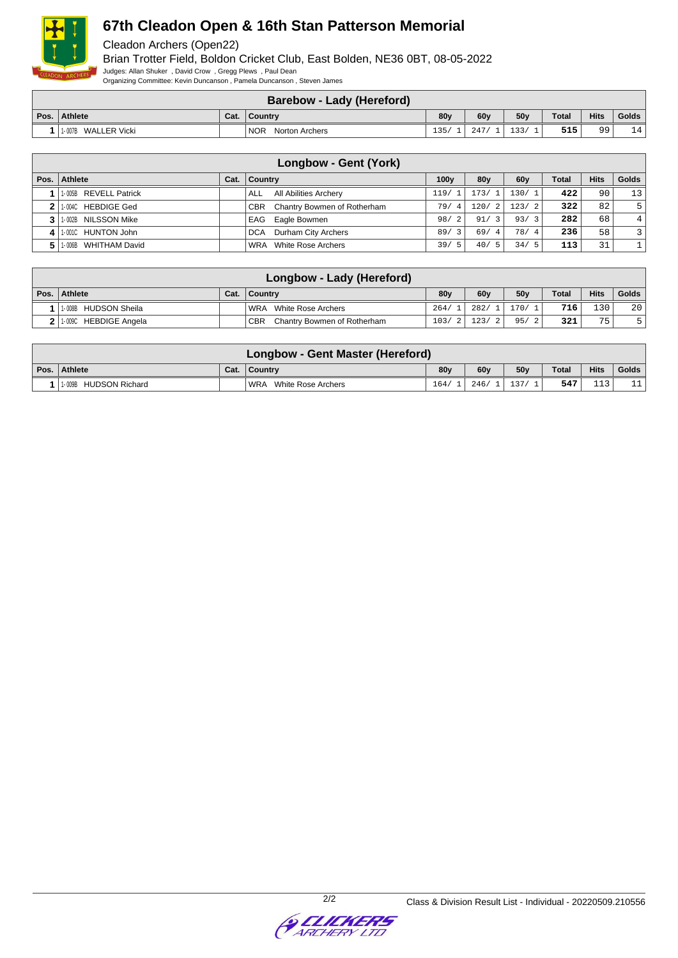

# **67th Cleadon Open & 16th Stan Patterson Memorial**

Cleadon Archers (Open22)

Brian Trotter Field, Boldon Cricket Club, East Bolden, NE36 0BT, 08-05-2022 Judges: Allan Shuker , David Crow , Gregg Plews , Paul Dean

Organizing Committee: Kevin Duncanson , Pamela Duncanson , Steven James

|      |                        |      | <b>Barebow - Lady (Hereford)</b> |                 |      |                 |              |             |       |
|------|------------------------|------|----------------------------------|-----------------|------|-----------------|--------------|-------------|-------|
| Pos. | Athlete                | Cat. | ∣ Country                        | 80 <sub>v</sub> | 60v  | 50 <sub>V</sub> | <b>Total</b> | <b>Hits</b> | Golds |
|      | WALLER Vicki<br>1-007B |      | <b>NOR</b><br>Norton Archers     | 125             | 247. | 133/            | 515          | 99          | 14    |

|                       |      | Longbow - Gent (York)                     |                  |                        |                       |              |             |                |
|-----------------------|------|-------------------------------------------|------------------|------------------------|-----------------------|--------------|-------------|----------------|
| Pos.   Athlete        | Cat. | ∣ Countrv                                 | 100 <sub>V</sub> | 80 <sub>V</sub>        | 60y                   | <b>Total</b> | <b>Hits</b> | Golds          |
| 1-005B REVELL Patrick |      | All Abilities Archery<br>ALL              | 119/             | 173/                   | 130/1                 | 422          | 90          | 13             |
| 1-004C HEBDIGE Ged    |      | Chantry Bowmen of Rotherham<br><b>CBR</b> | 79/<br>4.        | 120/<br>$\overline{2}$ | 123/2                 | 322          | 82          | 5              |
| 1-002B NILSSON Mike   |      | Eagle Bowmen<br>EAG                       | 98/<br>- 2       | 91/3                   | 93/<br>-3             | 282          | 68          | 4 <sup>1</sup> |
| 1-001C HUNTON John    |      | Durham City Archers<br><b>DCA</b>         | 89/3             | 69/4                   | 78/<br>$\overline{4}$ | 236          | 58          | $\overline{3}$ |
| 1-006B WHITHAM David  |      | White Rose Archers<br>WRA                 | 39/<br>- 5       | 40/5                   | 34/<br>- 5            | 113          | 31          |                |

| Longbow - Lady (Hereford) |      |                                           |                 |       |                 |              |             |       |  |  |  |  |
|---------------------------|------|-------------------------------------------|-----------------|-------|-----------------|--------------|-------------|-------|--|--|--|--|
| Pos.   Athlete            | Cat. | ∣ Countrv                                 | 80 <sub>V</sub> | 60y   | 50 <sub>V</sub> | <b>Total</b> | <b>Hits</b> | Golds |  |  |  |  |
| 1-008B HUDSON Sheila      |      | WRA<br>White Rose Archers                 | 264/            | 282/1 | 170/1           | 716          | 1301        | 20    |  |  |  |  |
| 2 1.009C HEBDIGE Angela   |      | <b>CBR</b><br>Chantry Bowmen of Rotherham | 103/2           | 123/2 | 95/2            | 321          | 75          |       |  |  |  |  |

| <b>Longbow - Gent Master (Hereford)</b> |      |                             |                 |       |                 |       |             |       |  |  |  |
|-----------------------------------------|------|-----------------------------|-----------------|-------|-----------------|-------|-------------|-------|--|--|--|
| Pos.   Athlete                          | Cat. | ∣ Countrv                   | 80 <sub>v</sub> | 60v   | 50 <sub>V</sub> | Total | <b>Hits</b> | Golds |  |  |  |
| HUDSON Richard<br>1-009B                |      | ' WRA<br>White Rose Archers | 164/            | 246/1 | 137/            | 547   | 112         | + + + |  |  |  |

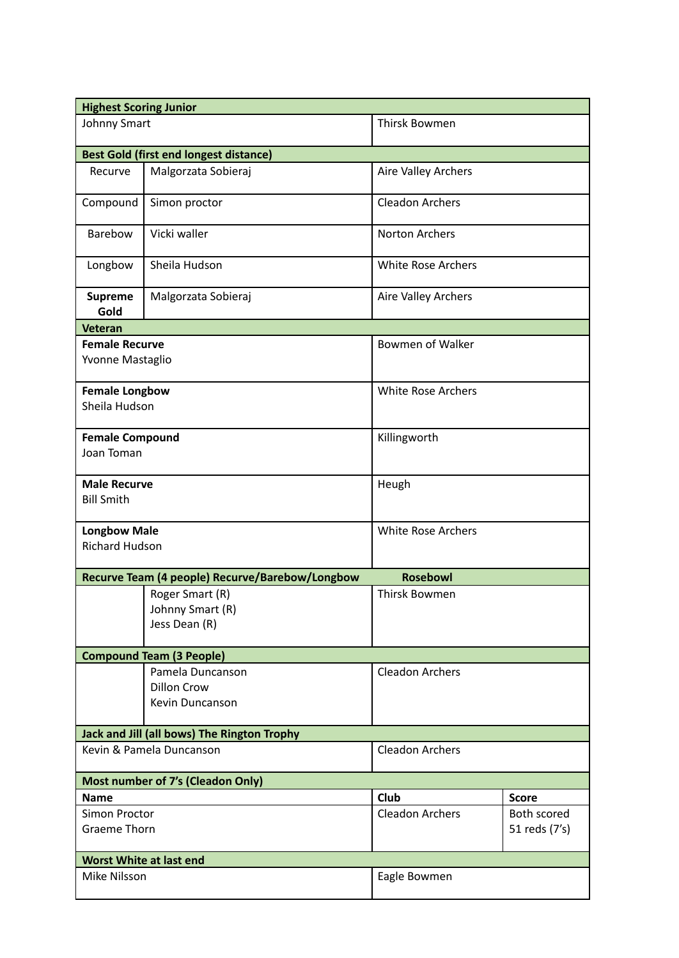| <b>Highest Scoring Junior</b>                                      |                                                           |                            |                              |
|--------------------------------------------------------------------|-----------------------------------------------------------|----------------------------|------------------------------|
| Johnny Smart                                                       |                                                           | Thirsk Bowmen              |                              |
| <b>Best Gold (first end longest distance)</b>                      |                                                           |                            |                              |
| Recurve                                                            | Malgorzata Sobieraj                                       | <b>Aire Valley Archers</b> |                              |
| Compound                                                           | Simon proctor                                             | <b>Cleadon Archers</b>     |                              |
| Barebow                                                            | Vicki waller                                              | <b>Norton Archers</b>      |                              |
| Longbow                                                            | Sheila Hudson                                             | <b>White Rose Archers</b>  |                              |
| <b>Supreme</b><br>Gold                                             | Malgorzata Sobieraj                                       | Aire Valley Archers        |                              |
| <b>Veteran</b>                                                     |                                                           |                            |                              |
| <b>Female Recurve</b><br>Yvonne Mastaglio                          |                                                           | <b>Bowmen of Walker</b>    |                              |
| <b>Female Longbow</b><br>Sheila Hudson                             |                                                           | <b>White Rose Archers</b>  |                              |
| <b>Female Compound</b><br>Joan Toman                               |                                                           | Killingworth               |                              |
| <b>Male Recurve</b><br><b>Bill Smith</b>                           |                                                           | Heugh                      |                              |
| <b>Longbow Male</b><br><b>Richard Hudson</b>                       |                                                           | White Rose Archers         |                              |
| Recurve Team (4 people) Recurve/Barebow/Longbow<br><b>Rosebowl</b> |                                                           |                            |                              |
|                                                                    | Roger Smart (R)<br>Johnny Smart (R)<br>Jess Dean (R)      | <b>Thirsk Bowmen</b>       |                              |
| <b>Compound Team (3 People)</b>                                    |                                                           |                            |                              |
|                                                                    | Pamela Duncanson<br><b>Dillon Crow</b><br>Kevin Duncanson | <b>Cleadon Archers</b>     |                              |
| Jack and Jill (all bows) The Rington Trophy                        |                                                           |                            |                              |
| Kevin & Pamela Duncanson                                           |                                                           | <b>Cleadon Archers</b>     |                              |
| Most number of 7's (Cleadon Only)                                  |                                                           |                            |                              |
| <b>Name</b>                                                        |                                                           | Club                       | <b>Score</b>                 |
| Simon Proctor<br><b>Graeme Thorn</b>                               |                                                           | <b>Cleadon Archers</b>     | Both scored<br>51 reds (7's) |
| <b>Worst White at last end</b>                                     |                                                           |                            |                              |
| Mike Nilsson                                                       |                                                           | Eagle Bowmen               |                              |